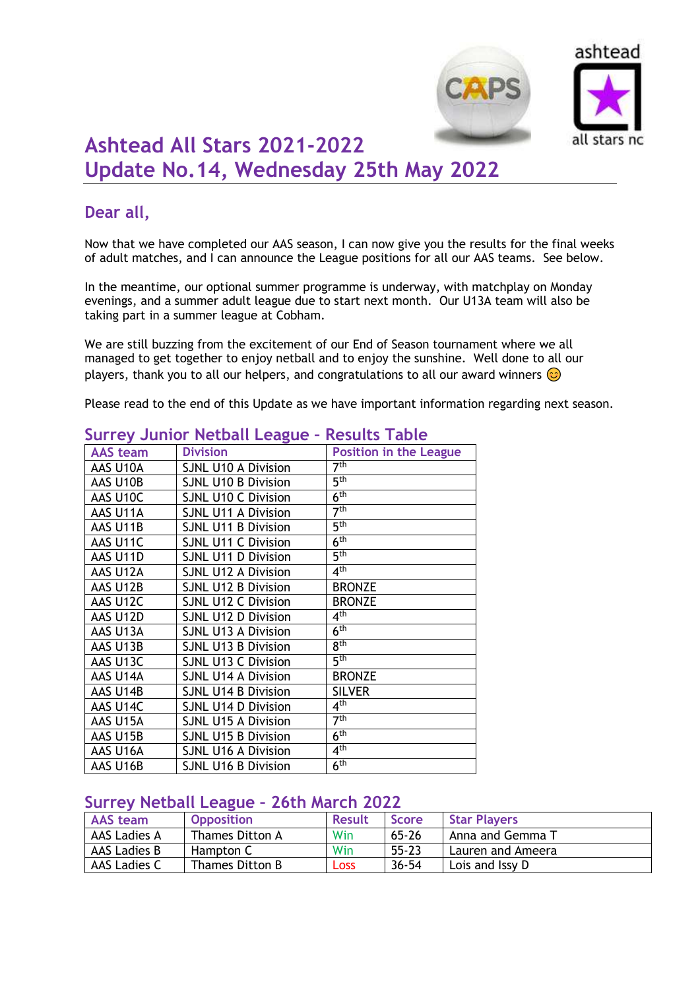



# **Ashtead All Stars 2021-2022 Update No.14, Wednesday 25th May 2022**

## **Dear all,**

Now that we have completed our AAS season, I can now give you the results for the final weeks of adult matches, and I can announce the League positions for all our AAS teams. See below.

In the meantime, our optional summer programme is underway, with matchplay on Monday evenings, and a summer adult league due to start next month. Our U13A team will also be taking part in a summer league at Cobham.

We are still buzzing from the excitement of our End of Season tournament where we all managed to get together to enjoy netball and to enjoy the sunshine. Well done to all our players, thank you to all our helpers, and congratulations to all our award winners  $\odot$ 

Please read to the end of this Update as we have important information regarding next season.

| <b>AAS</b> team | <b>Division</b>            | <b>Position in the League</b> |
|-----------------|----------------------------|-------------------------------|
| AAS U10A        | <b>SJNL U10 A Division</b> | 7 <sup>th</sup>               |
| AAS U10B        | <b>SJNL U10 B Division</b> | 5 <sup>th</sup>               |
| AAS U10C        | <b>SJNL U10 C Division</b> | 6 <sup>th</sup>               |
| AAS U11A        | <b>SJNL U11 A Division</b> | 7 <sup>th</sup>               |
| AAS U11B        | <b>SJNL U11 B Division</b> | 5 <sup>th</sup>               |
| AAS U11C        | <b>SJNL U11 C Division</b> | 6 <sup>th</sup>               |
| AAS U11D        | <b>SJNL U11 D Division</b> | $\overline{5^{th}}$           |
| AAS U12A        | <b>SJNL U12 A Division</b> | 4 <sup>th</sup>               |
| AAS U12B        | <b>SJNL U12 B Division</b> | <b>BRONZE</b>                 |
| AAS U12C        | <b>SJNL U12 C Division</b> | <b>BRONZE</b>                 |
| AAS U12D        | <b>SJNL U12 D Division</b> | 4 <sup>th</sup>               |
| AAS U13A        | <b>SJNL U13 A Division</b> | 6 <sup>th</sup>               |
| AAS U13B        | <b>SJNL U13 B Division</b> | 8 <sup>th</sup>               |
| AAS U13C        | <b>SJNL U13 C Division</b> | 5 <sup>th</sup>               |
| AAS U14A        | <b>SJNL U14 A Division</b> | <b>BRONZE</b>                 |
| AAS U14B        | <b>SJNL U14 B Division</b> | <b>SILVER</b>                 |
| AAS U14C        | <b>SJNL U14 D Division</b> | 4 <sup>th</sup>               |
| AAS U15A        | <b>SJNL U15 A Division</b> | 7 <sup>th</sup>               |
| AAS U15B        | <b>SJNL U15 B Division</b> | 6 <sup>th</sup>               |
| AAS U16A        | <b>SJNL U16 A Division</b> | 4 <sup>th</sup>               |
| AAS U16B        | <b>SJNL U16 B Division</b> | 6 <sup>th</sup>               |

## **Surrey Junior Netball League – Results Table**

#### **Surrey Netball League – 26th March 2022**

| <b>AAS</b> team | <b>Opposition</b> | <b>Result</b> | <b>Score</b> | <b>Star Players</b> |
|-----------------|-------------------|---------------|--------------|---------------------|
| AAS Ladies A    | Thames Ditton A   | Win           | $65 - 26$    | Anna and Gemma      |
| AAS Ladies B    | Hampton C         | Win           | $55 - 23$    | Lauren and Ameera   |
| AAS Ladies C    | Thames Ditton B   | <b>Loss</b>   | $36 - 54$    | Lois and Issy D     |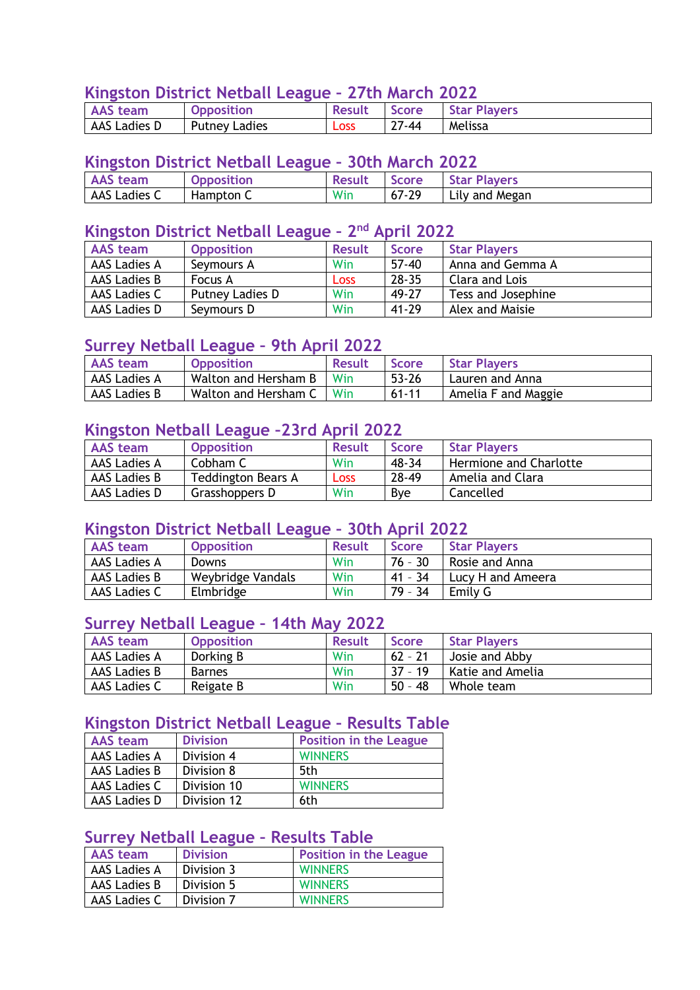## **Kingston District Netball League – 27th March 2022**

|                 |                   |                     | __________________ |              |
|-----------------|-------------------|---------------------|--------------------|--------------|
| <b>AAS</b> team | <b>Opposition</b> | <b>Result</b> Score |                    | Star Players |
| AAS Ladies D    | Putney Ladies     | <b>Loss</b>         | $27 - 44$          | Melissa      |

#### **Kingston District Netball League – 30th March 2022**

| , team             | <b>Opposition</b> | <b>Result</b> | Score     | <b>Star Players</b> |
|--------------------|-------------------|---------------|-----------|---------------------|
| CLadies C<br>AAS L | Hampton C         | Win           | $67 - 29$ | Lily and Megan      |

#### **Kingston District Netball League – 2 nd April 2022**

| AAS team     | <b>Opposition</b> | <b>Result</b> | <b>Score</b> | <b>Star Players</b> |
|--------------|-------------------|---------------|--------------|---------------------|
| AAS Ladies A | Seymours A        | Win           | $57 - 40$    | Anna and Gemma A    |
| AAS Ladies B | Focus A           | <b>Loss</b>   | $28 - 35$    | Clara and Lois      |
| AAS Ladies C | Putney Ladies D   | Win           | 49-27        | Tess and Josephine  |
| AAS Ladies D | Seymours D        | Win           | $41 - 29$    | Alex and Maisie     |

#### **Surrey Netball League – 9th April 2022**

| <b>AAS</b> team | <b>Opposition</b>          | <b>Result</b> | <b>Score</b> | Star Players        |
|-----------------|----------------------------|---------------|--------------|---------------------|
| AAS Ladies A    | Walton and Hersham B       | Win           | $53 - 26$    | Lauren and Anna     |
| AAS Ladies B    | Walton and Hersham C   Win |               | $61 - 11$    | Amelia F and Maggie |

## **Kingston Netball League –23rd April 2022**

| <b>AAS</b> team     | <b>Opposition</b>         | <b>Result</b> | <b>Score</b> | <b>Star Players</b>    |
|---------------------|---------------------------|---------------|--------------|------------------------|
| <b>AAS Ladies A</b> | Cobham C                  | Win           | 48-34        | Hermione and Charlotte |
| AAS Ladies B        | <b>Teddington Bears A</b> | <b>Loss</b>   | 28-49        | Amelia and Clara       |
| AAS Ladies D        | Grasshoppers D            | Win           | <b>B</b> ve  | Cancelled              |

#### **Kingston District Netball League – 30th April 2022**

| <b>AAS</b> team     | <b>Opposition</b> | <b>Result</b> | <b>Score</b> | <b>Star Players</b> |
|---------------------|-------------------|---------------|--------------|---------------------|
| <b>AAS Ladies A</b> | <b>Downs</b>      | Win           | $76 - 30$    | Rosie and Anna      |
| AAS Ladies B        | Weybridge Vandals | Win           | $41 - 34$    | Lucy H and Ameera   |
| AAS Ladies C        | Elmbridge         | Win           | 79 - 34      | Emily G             |

#### **Surrey Netball League – 14th May 2022**

| <b>AAS</b> team     | <b>Opposition</b> | <b>Result</b> | <b>Score</b> | <b>Star Players</b> |
|---------------------|-------------------|---------------|--------------|---------------------|
| <b>AAS Ladies A</b> | Dorking B         | Win           | $62 - 21$    | Josie and Abby      |
| AAS Ladies B        | Barnes            | Win           | 37 - 19      | Katie and Amelia    |
| AAS Ladies C        | Reigate B         | Win           | $50 - 48$    | Whole team          |

#### **Kingston District Netball League – Results Table**

| <b>AAS</b> team | <b>Division</b> | <b>Position in the League</b> |
|-----------------|-----------------|-------------------------------|
| AAS Ladies A    | Division 4      | <b>WINNERS</b>                |
| AAS Ladies B    | Division 8      | 5th                           |
| AAS Ladies C    | Division 10     | <b>WINNERS</b>                |
| AAS Ladies D    | Division 12     | 6th                           |

## **Surrey Netball League – Results Table**

| AAS team     | <b>Division</b> | <b>Position in the League</b> |
|--------------|-----------------|-------------------------------|
| AAS Ladies A | Division 3      | <b>WINNERS</b>                |
| AAS Ladies B | Division 5      | <b>WINNERS</b>                |
| AAS Ladies C | Division 7      | <b>WINNERS</b>                |